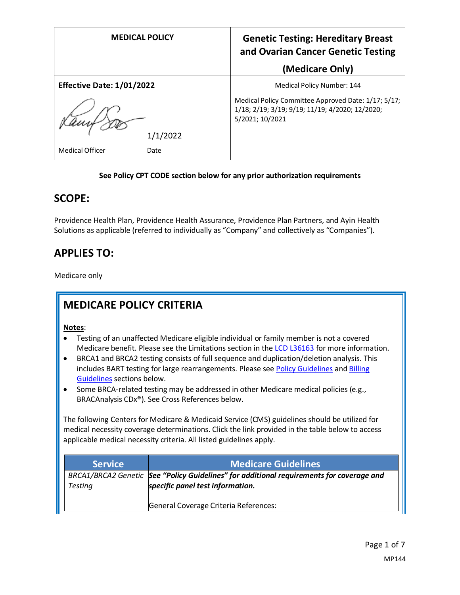| <b>MEDICAL POLICY</b>            | <b>Genetic Testing: Hereditary Breast</b><br>and Ovarian Cancer Genetic Testing                                           |
|----------------------------------|---------------------------------------------------------------------------------------------------------------------------|
|                                  | (Medicare Only)                                                                                                           |
| <b>Effective Date: 1/01/2022</b> | Medical Policy Number: 144                                                                                                |
|                                  | Medical Policy Committee Approved Date: 1/17; 5/17;<br>1/18; 2/19; 3/19; 9/19; 11/19; 4/2020; 12/2020;<br>5/2021; 10/2021 |
| 1/1/2022                         |                                                                                                                           |
| <b>Medical Officer</b><br>Date   |                                                                                                                           |

#### **See Policy CPT CODE section below for any prior authorization requirements**

#### **SCOPE:**

Providence Health Plan, Providence Health Assurance, Providence Plan Partners, and Ayin Health Solutions as applicable (referred to individually as "Company" and collectively as "Companies").

# **APPLIES TO:**

Medicare only

# **MEDICARE POLICY CRITERIA**

**Notes**:

- Testing of an unaffected Medicare eligible individual or family member is not a covered Medicare benefit. Please see the Limitations section in th[e LCD L36163](https://www.cms.gov/medicare-coverage-database/details/lcd-details.aspx?LCDId=36163) for more information.
- BRCA1 and BRCA2 testing consists of full sequence and duplication/deletion analysis. This includes BART testing for large rearrangements. Please se[e Policy Guidelines](#page-1-0) an[d Billing](#page-2-0)  [Guidelines](#page-2-0) sections below.
- Some BRCA-related testing may be addressed in other Medicare medical policies (e.g., BRACAnalysis CDx®). See Cross References below.

The following Centers for Medicare & Medicaid Service (CMS) guidelines should be utilized for medical necessity coverage determinations. Click the link provided in the table below to access applicable medical necessity criteria. All listed guidelines apply.

| <b>Service</b> | <b>Medicare Guidelines</b>                                                                                                   |
|----------------|------------------------------------------------------------------------------------------------------------------------------|
| Testing        | BRCA1/BRCA2 Genetic See "Policy Guidelines" for additional requirements for coverage and<br>specific panel test information. |
|                | General Coverage Criteria References:                                                                                        |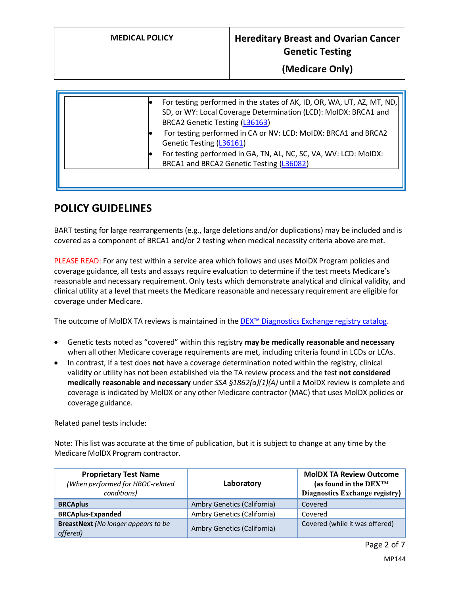| For testing performed in CA or NV: LCD: MoIDX: BRCA1 and BRCA2<br>Genetic Testing (L36161)<br>For testing performed in GA, TN, AL, NC, SC, VA, WV: LCD: MoIDX: |
|----------------------------------------------------------------------------------------------------------------------------------------------------------------|
| BRCA1 and BRCA2 Genetic Testing (L36082)                                                                                                                       |

# <span id="page-1-0"></span>**POLICY GUIDELINES**

BART testing for large rearrangements (e.g., large deletions and/or duplications) may be included and is covered as a component of BRCA1 and/or 2 testing when medical necessity criteria above are met.

PLEASE READ: For any test within a service area which follows and uses MolDX Program policies and coverage guidance, all tests and assays require evaluation to determine if the test meets Medicare's reasonable and necessary requirement. Only tests which demonstrate analytical and clinical validity, and clinical utility at a level that meets the Medicare reasonable and necessary requirement are eligible for coverage under Medicare.

The outcome of MolDX TA reviews is maintained in the [DEX™ Diagnostics Exchange registry catalog.](https://app.dexzcodes.com/login)

- Genetic tests noted as "covered" within this registry **may be medically reasonable and necessary** when all other Medicare coverage requirements are met, including criteria found in LCDs or LCAs.
- In contrast, if a test does **not** have a coverage determination noted within the registry, clinical validity or utility has not been established via the TA review process and the test **not considered medically reasonable and necessary** under *SSA §1862(a)(1)(A)* until a MolDX review is complete and coverage is indicated by MolDX or any other Medicare contractor (MAC) that uses MolDX policies or coverage guidance.

Related panel tests include:

Note: This list was accurate at the time of publication, but it is subject to change at any time by the Medicare MolDX Program contractor.

| <b>Proprietary Test Name</b><br>(When performed for HBOC-related<br>conditions) | Laboratory                  | <b>MoIDX TA Review Outcome</b><br>(as found in the DEX™<br>Diagnostics Exchange registry) |
|---------------------------------------------------------------------------------|-----------------------------|-------------------------------------------------------------------------------------------|
| <b>BRCAplus</b>                                                                 | Ambry Genetics (California) | Covered                                                                                   |
| <b>BRCAplus-Expanded</b>                                                        | Ambry Genetics (California) | Covered                                                                                   |
| <b>BreastNext</b> (No longer appears to be<br>offered)                          | Ambry Genetics (California) | Covered (while it was offered)                                                            |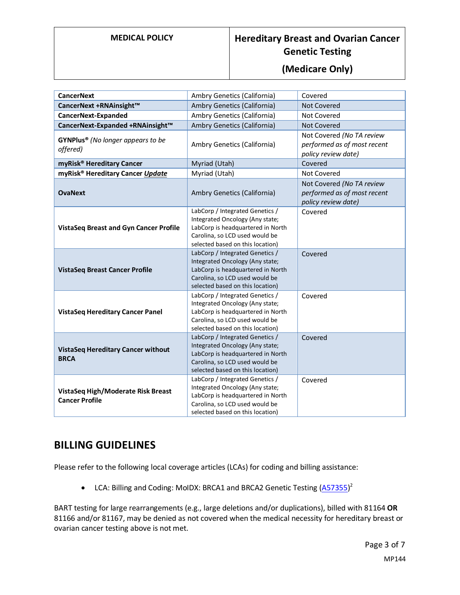# **MEDICAL POLICY Hereditary Breast and Ovarian Cancer Genetic Testing**

#### **(Medicare Only)**

| <b>CancerNext</b>                                           | Ambry Genetics (California)                                                                                                                                                   | Covered                                                                         |
|-------------------------------------------------------------|-------------------------------------------------------------------------------------------------------------------------------------------------------------------------------|---------------------------------------------------------------------------------|
| CancerNext +RNAinsight™                                     | Ambry Genetics (California)                                                                                                                                                   | <b>Not Covered</b>                                                              |
| <b>CancerNext-Expanded</b>                                  | Ambry Genetics (California)                                                                                                                                                   | <b>Not Covered</b>                                                              |
| CancerNext-Expanded +RNAinsight™                            | Ambry Genetics (California)                                                                                                                                                   | <b>Not Covered</b>                                                              |
| GYNPlus <sup>®</sup> (No longer appears to be<br>offered)   | Ambry Genetics (California)                                                                                                                                                   | Not Covered (No TA review<br>performed as of most recent<br>policy review date) |
| myRisk <sup>®</sup> Hereditary Cancer                       | Myriad (Utah)                                                                                                                                                                 | Covered                                                                         |
| myRisk <sup>®</sup> Hereditary Cancer Update                | Myriad (Utah)                                                                                                                                                                 | Not Covered                                                                     |
| <b>OvaNext</b>                                              | Ambry Genetics (California)                                                                                                                                                   | Not Covered (No TA review<br>performed as of most recent<br>policy review date) |
| <b>VistaSeq Breast and Gyn Cancer Profile</b>               | LabCorp / Integrated Genetics /<br>Integrated Oncology (Any state;<br>LabCorp is headquartered in North<br>Carolina, so LCD used would be<br>selected based on this location) | Covered                                                                         |
| <b>VistaSeq Breast Cancer Profile</b>                       | LabCorp / Integrated Genetics /<br>Integrated Oncology (Any state;<br>LabCorp is headquartered in North<br>Carolina, so LCD used would be<br>selected based on this location) | Covered                                                                         |
| <b>VistaSeq Hereditary Cancer Panel</b>                     | LabCorp / Integrated Genetics /<br>Integrated Oncology (Any state;<br>LabCorp is headquartered in North<br>Carolina, so LCD used would be<br>selected based on this location) | Covered                                                                         |
| <b>VistaSeq Hereditary Cancer without</b><br><b>BRCA</b>    | LabCorp / Integrated Genetics /<br>Integrated Oncology (Any state;<br>LabCorp is headquartered in North<br>Carolina, so LCD used would be<br>selected based on this location) | Covered                                                                         |
| VistaSeq High/Moderate Risk Breast<br><b>Cancer Profile</b> | LabCorp / Integrated Genetics /<br>Integrated Oncology (Any state;<br>LabCorp is headquartered in North<br>Carolina, so LCD used would be<br>selected based on this location) | Covered                                                                         |

#### <span id="page-2-0"></span>**BILLING GUIDELINES**

Please refer to the following local coverage articles (LCAs) for coding and billing assistance:

• LCA: Billing and Coding: MoIDX: BRCA1 and BRCA2 Genetic Testing [\(A57355\)](https://www.cms.gov/medicare-coverage-database/details/article-details.aspx?articleId=57355&ver=9&LCDId=36163)<sup>2</sup>

BART testing for large rearrangements (e.g., large deletions and/or duplications), billed with 81164 **OR** 81166 and/or 81167, may be denied as not covered when the medical necessity for hereditary breast or ovarian cancer testing above is not met.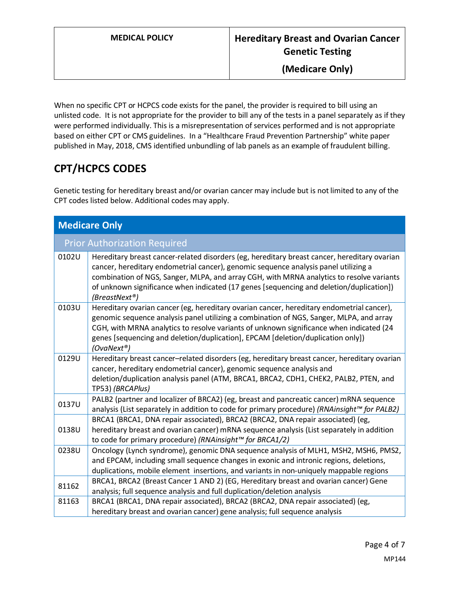When no specific CPT or HCPCS code exists for the panel, the provider is required to bill using an unlisted code. It is not appropriate for the provider to bill any of the tests in a panel separately as if they were performed individually. This is a misrepresentation of services performed and is not appropriate based on either CPT or CMS guidelines. In a "Healthcare Fraud Prevention Partnership" white paper published in May, 2018, CMS identified unbundling of lab panels as an example of fraudulent billing.

# **CPT/HCPCS CODES**

Genetic testing for hereditary breast and/or ovarian cancer may include but is not limited to any of the CPT codes listed below. Additional codes may apply.

| <b>Medicare Only</b> |                                                                                                                                                                                                                                                                                                                                                                                             |
|----------------------|---------------------------------------------------------------------------------------------------------------------------------------------------------------------------------------------------------------------------------------------------------------------------------------------------------------------------------------------------------------------------------------------|
|                      | <b>Prior Authorization Required</b>                                                                                                                                                                                                                                                                                                                                                         |
| 0102U                | Hereditary breast cancer-related disorders (eg, hereditary breast cancer, hereditary ovarian<br>cancer, hereditary endometrial cancer), genomic sequence analysis panel utilizing a<br>combination of NGS, Sanger, MLPA, and array CGH, with MRNA analytics to resolve variants<br>of unknown significance when indicated (17 genes [sequencing and deletion/duplication])<br>(BreastNext®) |
| 0103U                | Hereditary ovarian cancer (eg, hereditary ovarian cancer, hereditary endometrial cancer),<br>genomic sequence analysis panel utilizing a combination of NGS, Sanger, MLPA, and array<br>CGH, with MRNA analytics to resolve variants of unknown significance when indicated (24<br>genes [sequencing and deletion/duplication], EPCAM [deletion/duplication only])<br>$(Ov a Next^{\circ})$ |
| 0129U                | Hereditary breast cancer-related disorders (eg, hereditary breast cancer, hereditary ovarian<br>cancer, hereditary endometrial cancer), genomic sequence analysis and<br>deletion/duplication analysis panel (ATM, BRCA1, BRCA2, CDH1, CHEK2, PALB2, PTEN, and<br>TP53) (BRCAPlus)                                                                                                          |
| 0137U                | PALB2 (partner and localizer of BRCA2) (eg, breast and pancreatic cancer) mRNA sequence<br>analysis (List separately in addition to code for primary procedure) (RNAinsight™ for PALB2)                                                                                                                                                                                                     |
| 0138U                | BRCA1 (BRCA1, DNA repair associated), BRCA2 (BRCA2, DNA repair associated) (eg,<br>hereditary breast and ovarian cancer) mRNA sequence analysis (List separately in addition<br>to code for primary procedure) (RNAinsight™ for BRCA1/2)                                                                                                                                                    |
| 0238U                | Oncology (Lynch syndrome), genomic DNA sequence analysis of MLH1, MSH2, MSH6, PMS2,<br>and EPCAM, including small sequence changes in exonic and intronic regions, deletions,<br>duplications, mobile element insertions, and variants in non-uniquely mappable regions                                                                                                                     |
| 81162                | BRCA1, BRCA2 (Breast Cancer 1 AND 2) (EG, Hereditary breast and ovarian cancer) Gene<br>analysis; full sequence analysis and full duplication/deletion analysis                                                                                                                                                                                                                             |
| 81163                | BRCA1 (BRCA1, DNA repair associated), BRCA2 (BRCA2, DNA repair associated) (eg,<br>hereditary breast and ovarian cancer) gene analysis; full sequence analysis                                                                                                                                                                                                                              |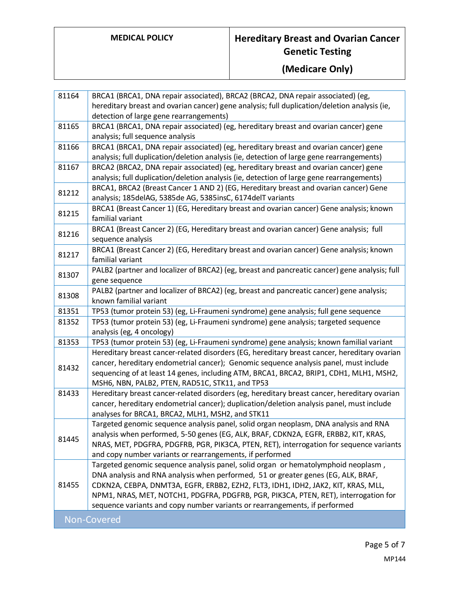# **MEDICAL POLICY Hereditary Breast and Ovarian Cancer Genetic Testing**

# **(Medicare Only)**

| 81164 | BRCA1 (BRCA1, DNA repair associated), BRCA2 (BRCA2, DNA repair associated) (eg,               |
|-------|-----------------------------------------------------------------------------------------------|
|       | hereditary breast and ovarian cancer) gene analysis; full duplication/deletion analysis (ie,  |
|       | detection of large gene rearrangements)                                                       |
| 81165 | BRCA1 (BRCA1, DNA repair associated) (eg, hereditary breast and ovarian cancer) gene          |
|       | analysis; full sequence analysis                                                              |
| 81166 | BRCA1 (BRCA1, DNA repair associated) (eg, hereditary breast and ovarian cancer) gene          |
|       | analysis; full duplication/deletion analysis (ie, detection of large gene rearrangements)     |
| 81167 | BRCA2 (BRCA2, DNA repair associated) (eg, hereditary breast and ovarian cancer) gene          |
|       | analysis; full duplication/deletion analysis (ie, detection of large gene rearrangements)     |
| 81212 | BRCA1, BRCA2 (Breast Cancer 1 AND 2) (EG, Hereditary breast and ovarian cancer) Gene          |
|       | analysis; 185delAG, 5385de AG, 5385insC, 6174delT variants                                    |
| 81215 | BRCA1 (Breast Cancer 1) (EG, Hereditary breast and ovarian cancer) Gene analysis; known       |
|       | familial variant                                                                              |
| 81216 | BRCA1 (Breast Cancer 2) (EG, Hereditary breast and ovarian cancer) Gene analysis; full        |
|       | sequence analysis                                                                             |
| 81217 | BRCA1 (Breast Cancer 2) (EG, Hereditary breast and ovarian cancer) Gene analysis; known       |
|       | familial variant                                                                              |
| 81307 | PALB2 (partner and localizer of BRCA2) (eg, breast and pancreatic cancer) gene analysis; full |
|       | gene sequence                                                                                 |
| 81308 | PALB2 (partner and localizer of BRCA2) (eg, breast and pancreatic cancer) gene analysis;      |
|       | known familial variant                                                                        |
| 81351 | TP53 (tumor protein 53) (eg, Li-Fraumeni syndrome) gene analysis; full gene sequence          |
| 81352 | TP53 (tumor protein 53) (eg, Li-Fraumeni syndrome) gene analysis; targeted sequence           |
|       | analysis (eg, 4 oncology)                                                                     |
| 81353 | TP53 (tumor protein 53) (eg, Li-Fraumeni syndrome) gene analysis; known familial variant      |
|       | Hereditary breast cancer-related disorders (EG, hereditary breast cancer, hereditary ovarian  |
| 81432 | cancer, hereditary endometrial cancer); Genomic sequence analysis panel, must include         |
|       | sequencing of at least 14 genes, including ATM, BRCA1, BRCA2, BRIP1, CDH1, MLH1, MSH2,        |
|       | MSH6, NBN, PALB2, PTEN, RAD51C, STK11, and TP53                                               |
| 81433 | Hereditary breast cancer-related disorders (eg, hereditary breast cancer, hereditary ovarian  |
|       | cancer, hereditary endometrial cancer); duplication/deletion analysis panel, must include     |
|       | analyses for BRCA1, BRCA2, MLH1, MSH2, and STK11                                              |
|       | Targeted genomic sequence analysis panel, solid organ neoplasm, DNA analysis and RNA          |
| 81445 | analysis when performed, 5-50 genes (EG, ALK, BRAF, CDKN2A, EGFR, ERBB2, KIT, KRAS,           |
|       | NRAS, MET, PDGFRA, PDGFRB, PGR, PIK3CA, PTEN, RET), interrogation for sequence variants       |
|       | and copy number variants or rearrangements, if performed                                      |
|       | Targeted genomic sequence analysis panel, solid organ or hematolymphoid neoplasm,             |
|       | DNA analysis and RNA analysis when performed, 51 or greater genes (EG, ALK, BRAF,             |
| 81455 | CDKN2A, CEBPA, DNMT3A, EGFR, ERBB2, EZH2, FLT3, IDH1, IDH2, JAK2, KIT, KRAS, MLL,             |
|       | NPM1, NRAS, MET, NOTCH1, PDGFRA, PDGFRB, PGR, PIK3CA, PTEN, RET), interrogation for           |
|       | sequence variants and copy number variants or rearrangements, if performed                    |
|       | Non-Covered                                                                                   |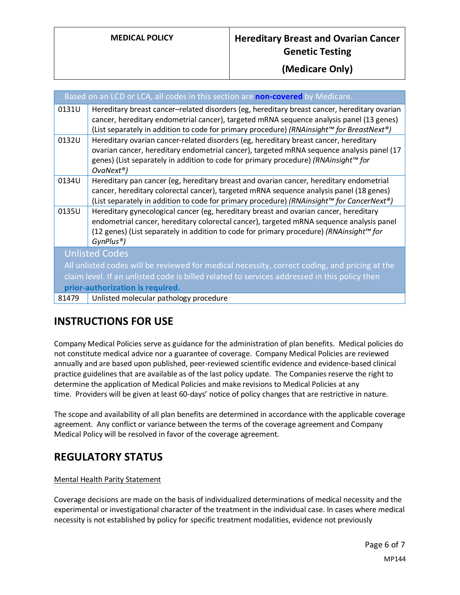|       | Based on an LCD or LCA, all codes in this section are <b>non-covered</b> by Medicare.                                                                                                                                                                                                                              |
|-------|--------------------------------------------------------------------------------------------------------------------------------------------------------------------------------------------------------------------------------------------------------------------------------------------------------------------|
| 0131U | Hereditary breast cancer-related disorders (eg, hereditary breast cancer, hereditary ovarian<br>cancer, hereditary endometrial cancer), targeted mRNA sequence analysis panel (13 genes)<br>(List separately in addition to code for primary procedure) (RNAinsight™ for BreastNext®)                              |
| 0132U | Hereditary ovarian cancer-related disorders (eg, hereditary breast cancer, hereditary<br>ovarian cancer, hereditary endometrial cancer), targeted mRNA sequence analysis panel (17<br>genes) (List separately in addition to code for primary procedure) (RNAinsight™ for<br>$Ov$ aNext <sup>®</sup> )             |
| 0134U | Hereditary pan cancer (eg, hereditary breast and ovarian cancer, hereditary endometrial<br>cancer, hereditary colorectal cancer), targeted mRNA sequence analysis panel (18 genes)<br>(List separately in addition to code for primary procedure) (RNAinsight™ for CancerNext®)                                    |
| 0135U | Hereditary gynecological cancer (eg, hereditary breast and ovarian cancer, hereditary<br>endometrial cancer, hereditary colorectal cancer), targeted mRNA sequence analysis panel<br>(12 genes) (List separately in addition to code for primary procedure) (RNAinsight <sup>™</sup> for<br>GynPlus <sup>®</sup> ) |
|       | <b>Unlisted Codes</b>                                                                                                                                                                                                                                                                                              |
|       | All unlisted codes will be reviewed for medical necessity, correct coding, and pricing at the                                                                                                                                                                                                                      |
|       | claim level. If an unlisted code is billed related to services addressed in this policy then                                                                                                                                                                                                                       |
|       | prior-authorization is required.                                                                                                                                                                                                                                                                                   |
| 81479 | Unlisted molecular pathology procedure                                                                                                                                                                                                                                                                             |

# **INSTRUCTIONS FOR USE**

Company Medical Policies serve as guidance for the administration of plan benefits. Medical policies do not constitute medical advice nor a guarantee of coverage. Company Medical Policies are reviewed annually and are based upon published, peer-reviewed scientific evidence and evidence-based clinical practice guidelines that are available as of the last policy update. The Companies reserve the right to determine the application of Medical Policies and make revisions to Medical Policies at any time. Providers will be given at least 60-days' notice of policy changes that are restrictive in nature.

The scope and availability of all plan benefits are determined in accordance with the applicable coverage agreement. Any conflict or variance between the terms of the coverage agreement and Company Medical Policy will be resolved in favor of the coverage agreement.

# **REGULATORY STATUS**

#### Mental Health Parity Statement

Coverage decisions are made on the basis of individualized determinations of medical necessity and the experimental or investigational character of the treatment in the individual case. In cases where medical necessity is not established by policy for specific treatment modalities, evidence not previously